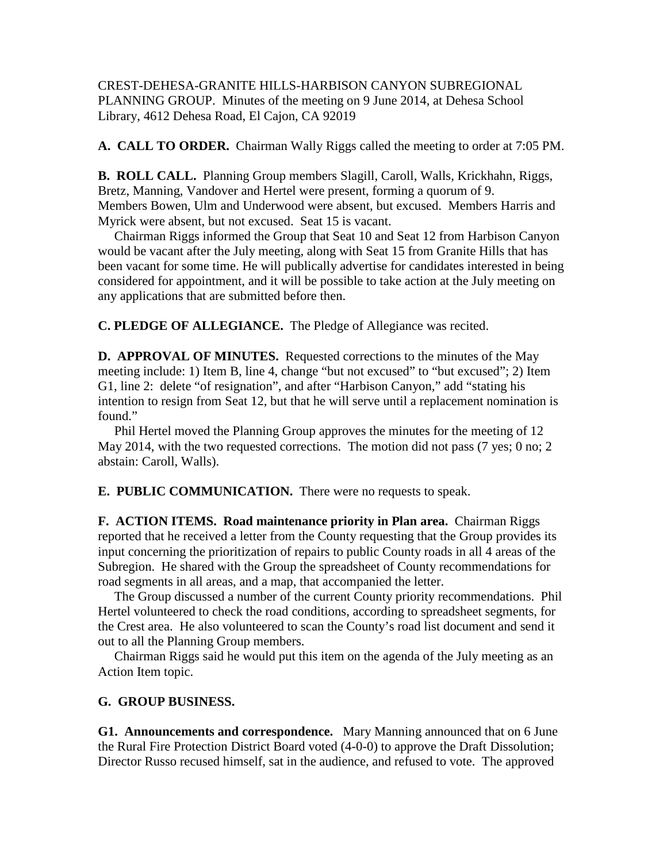CREST-DEHESA-GRANITE HILLS-HARBISON CANYON SUBREGIONAL PLANNING GROUP. Minutes of the meeting on 9 June 2014, at Dehesa School Library, 4612 Dehesa Road, El Cajon, CA 92019

**A. CALL TO ORDER.** Chairman Wally Riggs called the meeting to order at 7:05 PM.

**B. ROLL CALL.** Planning Group members Slagill, Caroll, Walls, Krickhahn, Riggs, Bretz, Manning, Vandover and Hertel were present, forming a quorum of 9. Members Bowen, Ulm and Underwood were absent, but excused. Members Harris and Myrick were absent, but not excused. Seat 15 is vacant.

 Chairman Riggs informed the Group that Seat 10 and Seat 12 from Harbison Canyon would be vacant after the July meeting, along with Seat 15 from Granite Hills that has been vacant for some time. He will publically advertise for candidates interested in being considered for appointment, and it will be possible to take action at the July meeting on any applications that are submitted before then.

**C. PLEDGE OF ALLEGIANCE.** The Pledge of Allegiance was recited.

**D. APPROVAL OF MINUTES.** Requested corrections to the minutes of the May meeting include: 1) Item B, line 4, change "but not excused" to "but excused"; 2) Item G1, line 2: delete "of resignation", and after "Harbison Canyon," add "stating his intention to resign from Seat 12, but that he will serve until a replacement nomination is found."

 Phil Hertel moved the Planning Group approves the minutes for the meeting of 12 May 2014, with the two requested corrections. The motion did not pass (7 yes; 0 no; 2 abstain: Caroll, Walls).

**E. PUBLIC COMMUNICATION.** There were no requests to speak.

**F. ACTION ITEMS. Road maintenance priority in Plan area.** Chairman Riggs reported that he received a letter from the County requesting that the Group provides its input concerning the prioritization of repairs to public County roads in all 4 areas of the Subregion. He shared with the Group the spreadsheet of County recommendations for road segments in all areas, and a map, that accompanied the letter.

 The Group discussed a number of the current County priority recommendations. Phil Hertel volunteered to check the road conditions, according to spreadsheet segments, for the Crest area. He also volunteered to scan the County's road list document and send it out to all the Planning Group members.

 Chairman Riggs said he would put this item on the agenda of the July meeting as an Action Item topic.

## **G. GROUP BUSINESS.**

**G1. Announcements and correspondence.** Mary Manning announced that on 6 June the Rural Fire Protection District Board voted (4-0-0) to approve the Draft Dissolution; Director Russo recused himself, sat in the audience, and refused to vote. The approved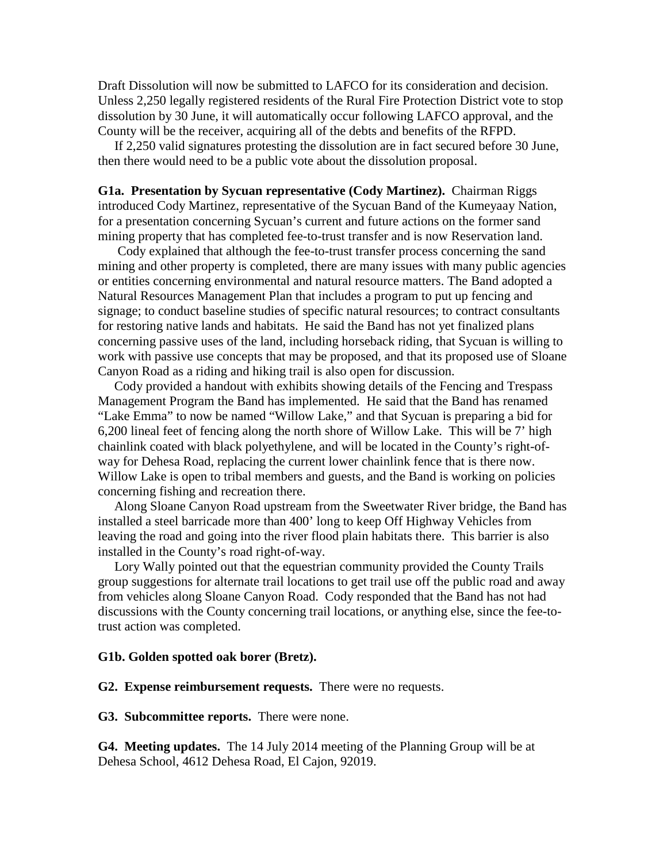Draft Dissolution will now be submitted to LAFCO for its consideration and decision. Unless 2,250 legally registered residents of the Rural Fire Protection District vote to stop dissolution by 30 June, it will automatically occur following LAFCO approval, and the County will be the receiver, acquiring all of the debts and benefits of the RFPD.

 If 2,250 valid signatures protesting the dissolution are in fact secured before 30 June, then there would need to be a public vote about the dissolution proposal.

**G1a. Presentation by Sycuan representative (Cody Martinez).** Chairman Riggs introduced Cody Martinez, representative of the Sycuan Band of the Kumeyaay Nation, for a presentation concerning Sycuan's current and future actions on the former sand mining property that has completed fee-to-trust transfer and is now Reservation land.

 Cody explained that although the fee-to-trust transfer process concerning the sand mining and other property is completed, there are many issues with many public agencies or entities concerning environmental and natural resource matters. The Band adopted a Natural Resources Management Plan that includes a program to put up fencing and signage; to conduct baseline studies of specific natural resources; to contract consultants for restoring native lands and habitats. He said the Band has not yet finalized plans concerning passive uses of the land, including horseback riding, that Sycuan is willing to work with passive use concepts that may be proposed, and that its proposed use of Sloane Canyon Road as a riding and hiking trail is also open for discussion.

 Cody provided a handout with exhibits showing details of the Fencing and Trespass Management Program the Band has implemented. He said that the Band has renamed "Lake Emma" to now be named "Willow Lake," and that Sycuan is preparing a bid for 6,200 lineal feet of fencing along the north shore of Willow Lake. This will be 7' high chainlink coated with black polyethylene, and will be located in the County's right-ofway for Dehesa Road, replacing the current lower chainlink fence that is there now. Willow Lake is open to tribal members and guests, and the Band is working on policies concerning fishing and recreation there.

 Along Sloane Canyon Road upstream from the Sweetwater River bridge, the Band has installed a steel barricade more than 400' long to keep Off Highway Vehicles from leaving the road and going into the river flood plain habitats there. This barrier is also installed in the County's road right-of-way.

 Lory Wally pointed out that the equestrian community provided the County Trails group suggestions for alternate trail locations to get trail use off the public road and away from vehicles along Sloane Canyon Road. Cody responded that the Band has not had discussions with the County concerning trail locations, or anything else, since the fee-totrust action was completed.

## **G1b. Golden spotted oak borer (Bretz).**

**G2. Expense reimbursement requests.** There were no requests.

**G3. Subcommittee reports.** There were none.

**G4. Meeting updates.** The 14 July 2014 meeting of the Planning Group will be at Dehesa School, 4612 Dehesa Road, El Cajon, 92019.